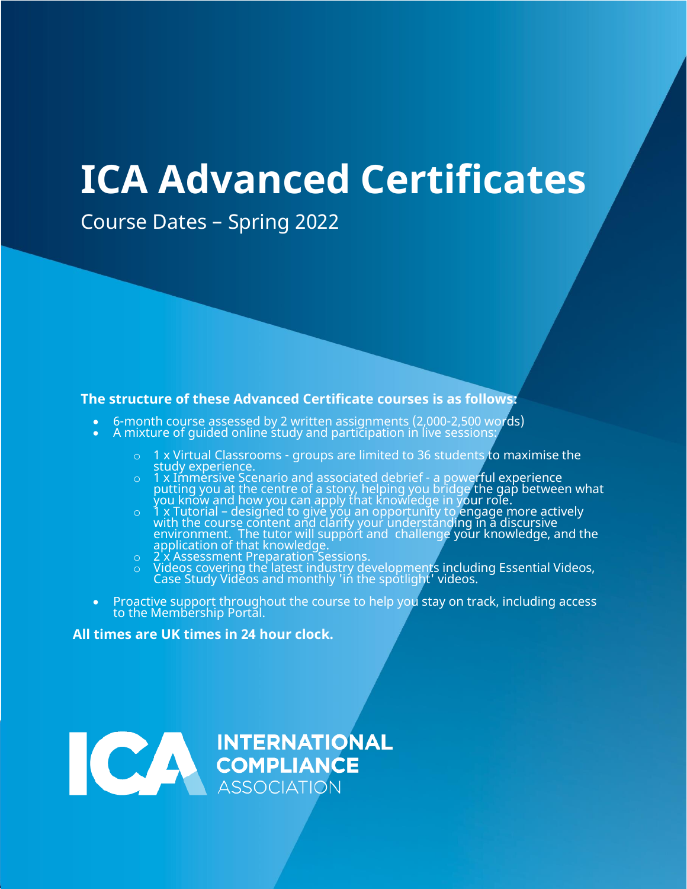# **ICA Advanced Certificates**

Course Dates – Spring 2022

#### **The structure of these Advanced Certificate courses is as follows:**

- 6-month course assessed by 2 written assignments (2,000-2,500 words)
- $\bullet$  A mixture of guided online study and participation in live sessions:
	- o 1 x Virtual Classrooms groups are limited to 36 students to maximise the study experience.
	- o 1 x Immersive Scenario and associated debrief a powerful experience putting you at the centre of a story, helping you bridge the gap between what  $\mathop{\mathsf{you}}$  know and how you can apply that knowledge in  $\mathop{\mathsf{your}}$  role.
	- $\circ$   $\;$  1 x Tutorial designed to give you an opportunity to engage more actively with the course content and clarify your understanding in a discursive environment. The tutor will support and challenge your knowledge, and the application of that knowledge.
	- o 2 x Assessment Preparation Sessions.
	- o Videos covering the latest industry developments including Essential Videos, Case Study Videos and monthly 'in the spotlight' videos.
- Proactive support throughout the course to help you stay on track, including access to the Membership Portal.

#### **All times are UK times in 24 hour clock.**

INTERNATIONAL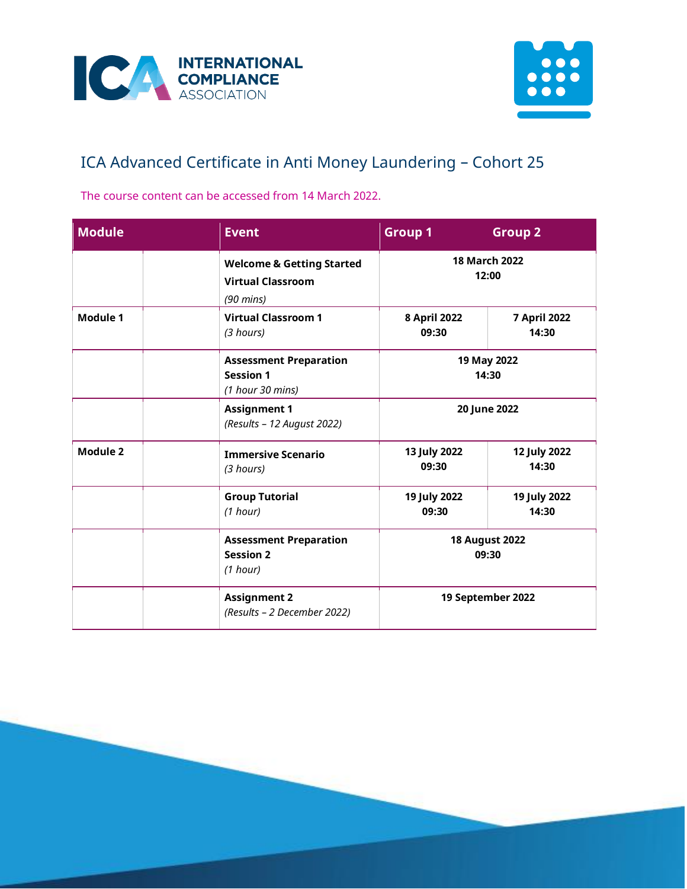



## ICA Advanced Certificate in Anti Money Laundering – Cohort 25

The course content can be accessed from 14 March 2022.

| <b>Module</b> | <b>Event</b>                                                                            | <b>Group 1</b>                                      | <b>Group 2</b>                |
|---------------|-----------------------------------------------------------------------------------------|-----------------------------------------------------|-------------------------------|
|               | <b>Welcome &amp; Getting Started</b><br><b>Virtual Classroom</b><br>$(90 \text{ mins})$ |                                                     | <b>18 March 2022</b><br>12:00 |
| Module 1      | <b>Virtual Classroom 1</b><br>(3 hours)                                                 | 8 April 2022<br>09:30                               | <b>7 April 2022</b><br>14:30  |
|               | <b>Assessment Preparation</b><br><b>Session 1</b><br>(1 hour 30 mins)                   |                                                     | 19 May 2022<br>14:30          |
|               | <b>Assignment 1</b><br>(Results - 12 August 2022)                                       | 20 June 2022                                        |                               |
| Module 2      | <b>Immersive Scenario</b><br>(3 hours)                                                  | 13 July 2022<br>09:30                               | 12 July 2022<br>14:30         |
|               | <b>Group Tutorial</b><br>(1 hour)                                                       | 19 July 2022<br>09:30                               | 19 July 2022<br>14:30         |
|               | <b>Assessment Preparation</b><br><b>Session 2</b><br>(1 hour)                           | <b>18 August 2022</b><br>09:30<br>19 September 2022 |                               |
|               | <b>Assignment 2</b><br>(Results - 2 December 2022)                                      |                                                     |                               |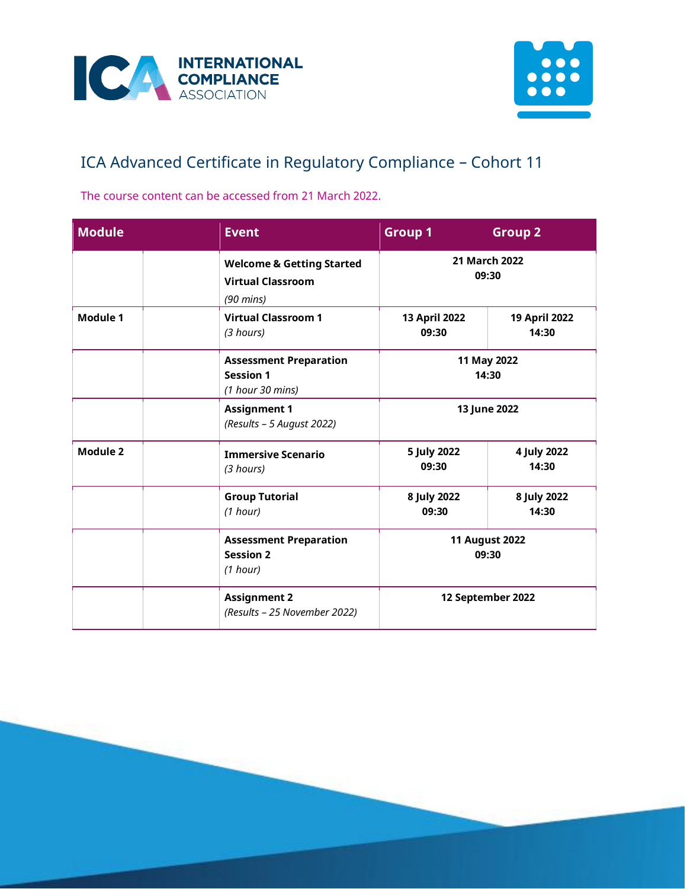



## ICA Advanced Certificate in Regulatory Compliance – Cohort 11

The course content can be accessed from 21 March 2022.

| <b>Module</b> | <b>Event</b>                                                                            | <b>Group 1</b>                 | <b>Group 2</b>         |
|---------------|-----------------------------------------------------------------------------------------|--------------------------------|------------------------|
|               | <b>Welcome &amp; Getting Started</b><br><b>Virtual Classroom</b><br>$(90 \text{ mins})$ |                                | 21 March 2022<br>09:30 |
| Module 1      | <b>Virtual Classroom 1</b><br>(3 hours)                                                 | 13 April 2022<br>09:30         | 19 April 2022<br>14:30 |
|               | <b>Assessment Preparation</b><br><b>Session 1</b><br>(1 hour 30 mins)                   |                                | 11 May 2022<br>14:30   |
|               | <b>Assignment 1</b><br>(Results - 5 August 2022)                                        | 13 June 2022                   |                        |
| Module 2      | <b>Immersive Scenario</b><br>(3 hours)                                                  | 5 July 2022<br>09:30           | 4 July 2022<br>14:30   |
|               | <b>Group Tutorial</b><br>(1 hour)                                                       | 8 July 2022<br>09:30           | 8 July 2022<br>14:30   |
|               | <b>Assessment Preparation</b><br><b>Session 2</b><br>(1 hour)                           | <b>11 August 2022</b><br>09:30 |                        |
|               | <b>Assignment 2</b><br>(Results - 25 November 2022)                                     | 12 September 2022              |                        |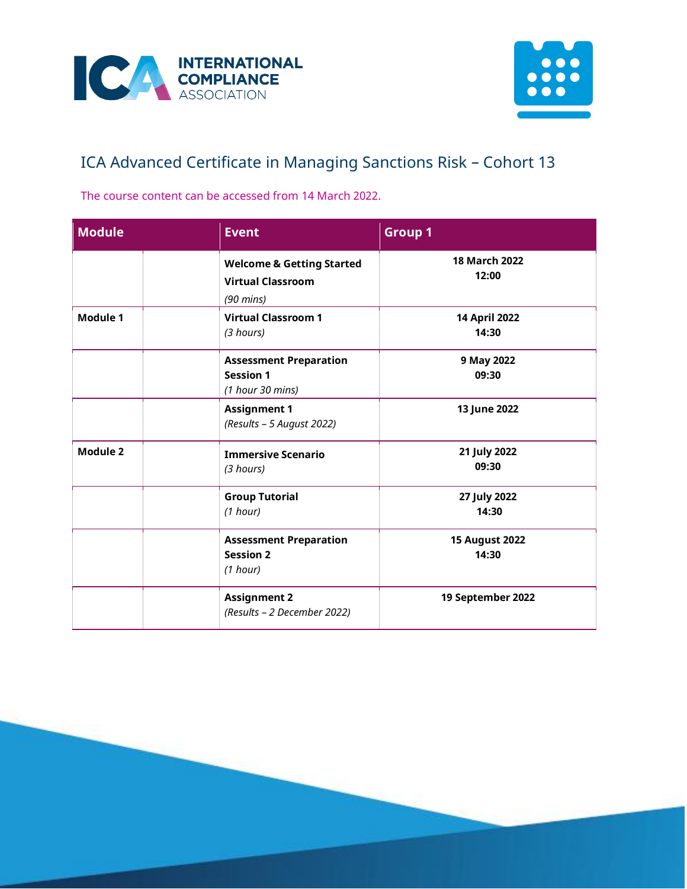



## ICA Advanced Certificate in Managing Sanctions Risk – Cohort 13

The course content can be accessed from 14 March 2022.

| <b>Module</b> | <b>Event</b>                                                                            | <b>Group 1</b>                 |
|---------------|-----------------------------------------------------------------------------------------|--------------------------------|
|               | <b>Welcome &amp; Getting Started</b><br><b>Virtual Classroom</b><br>$(90 \text{ mins})$ | <b>18 March 2022</b><br>12:00  |
| Module 1      | <b>Virtual Classroom 1</b><br>(3 hours)                                                 | 14 April 2022<br>14:30         |
|               | <b>Assessment Preparation</b><br><b>Session 1</b><br>(1 hour 30 mins)                   | 9 May 2022<br>09:30            |
|               | <b>Assignment 1</b><br>(Results - 5 August 2022)                                        | 13 June 2022                   |
| Module 2      | <b>Immersive Scenario</b><br>(3 hours)                                                  | 21 July 2022<br>09:30          |
|               | <b>Group Tutorial</b><br>(1 hour)                                                       | 27 July 2022<br>14:30          |
|               | <b>Assessment Preparation</b><br><b>Session 2</b><br>(1 hour)                           | <b>15 August 2022</b><br>14:30 |
|               | <b>Assignment 2</b><br>(Results - 2 December 2022)                                      | 19 September 2022              |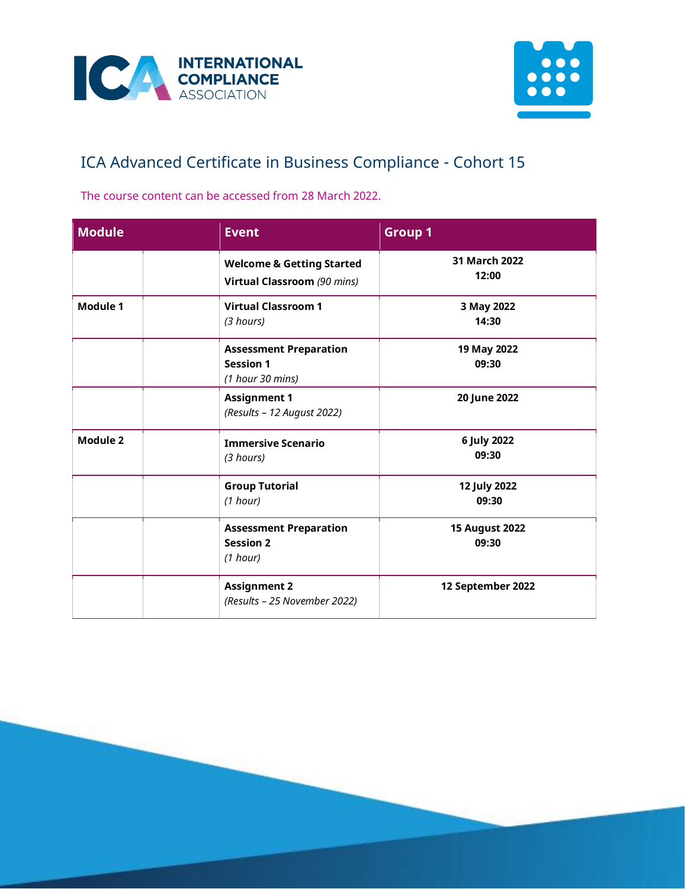



## ICA Advanced Certificate in Business Compliance - Cohort 15

The course content can be accessed from 28 March 2022.

| <b>Module</b>   | <b>Event</b>                                                          | <b>Group 1</b>                 |
|-----------------|-----------------------------------------------------------------------|--------------------------------|
|                 | <b>Welcome &amp; Getting Started</b><br>Virtual Classroom (90 mins)   | 31 March 2022<br>12:00         |
| Module 1        | <b>Virtual Classroom 1</b><br>(3 hours)                               | 3 May 2022<br>14:30            |
|                 | <b>Assessment Preparation</b><br><b>Session 1</b><br>(1 hour 30 mins) | 19 May 2022<br>09:30           |
|                 | <b>Assignment 1</b><br>(Results - 12 August 2022)                     | 20 June 2022                   |
| <b>Module 2</b> | <b>Immersive Scenario</b><br>(3 hours)                                | 6 July 2022<br>09:30           |
|                 | <b>Group Tutorial</b><br>(1 hour)                                     | 12 July 2022<br>09:30          |
|                 | <b>Assessment Preparation</b><br><b>Session 2</b><br>(1 hour)         | <b>15 August 2022</b><br>09:30 |
|                 | <b>Assignment 2</b><br>(Results - 25 November 2022)                   | 12 September 2022              |